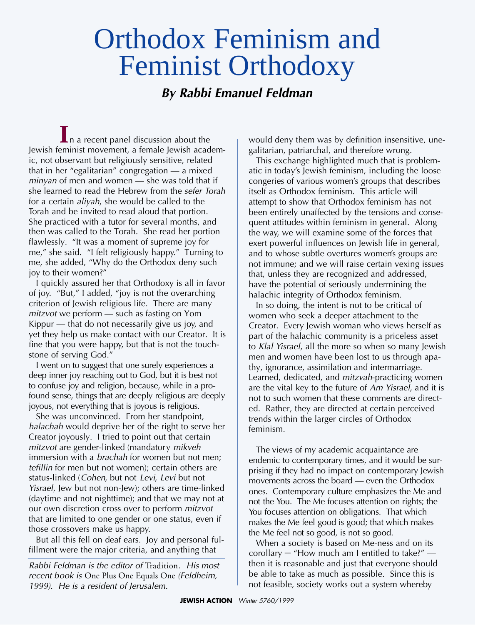## Orthodox Feminism and Feminist Orthodoxy

## *By Rabbi Emanuel Feldman*

**I**n a recent panel discussion about the Jewish feminist movement, a female Jewish academic, not observant but religiously sensitive, related that in her "egalitarian" congregation — a mixed *minyan* of men and women — she was told that if she learned to read the Hebrew from the *sefer Torah* for a certain *aliyah*, she would be called to the Torah and be invited to read aloud that portion. She practiced with a tutor for several months, and then was called to the Torah. She read her portion flawlessly. "It was a moment of supreme joy for me," she said. "I felt religiously happy." Turning to me, she added, "Why do the Orthodox deny such joy to their women?"

of joy. "But," I added, "joy is not the overarching criterion of Jewish religious life. There are many *mitzvot* we perform — such as fasting on Yom Kippur — that do not necessarily give us joy, and yet they help us make contact with our Creator. It is fine that you were happy, but that is not the touchstone of serving God." I quickly assured her that Orthodoxy is all in favor

I went on to suggest that one surely experiences a deep inner joy reaching out to God, but it is best not to confuse joy and religion, because, while in a profound sense, things that are deeply religious are deeply joyous, not everything that is joyous is religious.

She was unconvinced. From her standpoint, *halachah* would deprive her of the right to serve her Creator joyously. I tried to point out that certain *mitzvot* are gender-linked (mandatory *mikveh* immersion with a *brachah* for women but not men; *tefillin* for men but not women); certain others are status-linked (*Cohen*, but not *Levi*, *Levi* but not *Yisrael*, Jew but not non-Jew); others are time-linked (daytime and not nighttime); and that we may not at our own discretion cross over to perform *mitzvot* that are limited to one gender or one status, even if those crossovers make us happy.

But all this fell on deaf ears. Joy and personal fulfillment were the major criteria, and anything that

*Rabbi Feldman is the editor of Tradition. His most recent book is* One Plus One Equals One *(Feldheim, 1999). He is a resident of Jerusalem.*

would deny them was by definition insensitive, unegalitarian, patriarchal, and therefore wrong.

This exchange highlighted much that is problematic in today's Jewish feminism, including the loose congeries of various women's groups that describes itself as Orthodox feminism. This article will attempt to show that Orthodox feminism has not been entirely unaffected by the tensions and consequent attitudes within feminism in general. Along the way, we will examine some of the forces that exert powerful influences on Jewish life in general, and to whose subtle overtures women's groups are not immune; and we will raise certain vexing issues that, unless they are recognized and addressed, have the potential of seriously undermining the halachic integrity of Orthodox feminism.

In so doing, the intent is not to be critical of women who seek a deeper attachment to the Creator. Every Jewish woman who views herself as part of the halachic community is a priceless asset to *Klal Yisrael*, all the more so when so many Jewish men and women have been lost to us through apathy, ignorance, assimilation and intermarriage. Learned, dedicated, and *mitzvah*-practicing women are the vital key to the future of *Am Yisrael*, and it is not to such women that these comments are directed. Rather, they are directed at certain perceived trends within the larger circles of Orthodox feminism.

The views of my academic acquaintance are endemic to contemporary times, and it would be surprising if they had no impact on contemporary Jewish movements across the board  $-$  even the Orthodox ones. Contemporary culture emphasizes the Me and not the You. The Me focuses attention on rights; the You focuses attention on obligations. That which makes the Me feel good is good; that which makes the Me feel not so good, is not so good.

When a society is based on Me-ness and on its corollary – "How much am I entitled to take?" then it is reasonable and just that everyone should be able to take as much as possible. Since this is not feasible, society works out a system whereby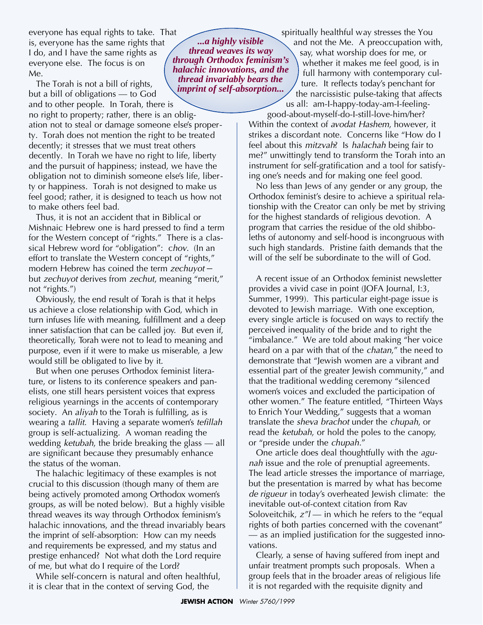everyone has equal rights to take. That is, everyone has the same rights that I do, and I have the same rights as everyone else. The focus is on Me.

The Torah is not a bill of rights, but a bill of obligations — to God and to other people. In Torah, there is

no right to property; rather, there is an obligation not to steal or damage someone else's property. Torah does not mention the right to be treated decently; it stresses that we must treat others decently. In Torah we have no right to life, liberty and the pursuit of happiness; instead, we have the obligation not to diminish someone else's life, liberty or happiness. Torah is not designed to make us feel good; rather, it is designed to teach us how not to make others feel bad.

Thus, it is not an accident that in Biblical or Mishnaic Hebrew one is hard pressed to find a term for the Western concept of "rights." There is a classical Hebrew word for "obligation": c*hov*. (In an effort to translate the Western concept of "rights," modern Hebrew has coined the term *zechuyot* – but *zechuyot* derives from *zechut*, meaning "merit," not "rights.")

Obviously, the end result of Torah is that it helps us achieve a close relationship with God, which in turn infuses life with meaning, fulfillment and a deep inner satisfaction that can be called joy. But even if, theoretically, Torah were not to lead to meaning and purpose, even if it were to make us miserable, a Jew would still be obligated to live by it.

But when one peruses Orthodox feminist literature, or listens to its conference speakers and panelists, one still hears persistent voices that express religious yearnings in the accents of contemporary society. An *aliyah* to the Torah is fulfilling, as is wearing a *tallit*. Having a separate women's *tefillah* group is self-actualizing. A woman reading the wedding *ketubah*, the bride breaking the glass — all are significant because they presumably enhance the status of the woman.

The halachic legitimacy of these examples is not crucial to this discussion (though many of them are being actively promoted among Orthodox women's groups, as will be noted below). But a highly visible thread we aves its way through Orthodox feminism's halachic innovations, and the thread invariably bears the imprint of self-absorption: How can my needs and requirements be expressed, and my status and prestige enhanced? Not what doth the Lord require of me, but what do I require of the Lord?

While self-concern is natural and often healthful, it is clear that in the context of serving God, the

*...a highly visible thread weaves its way through Orthodox feminism's halachic innovations, and the thread invariably bears the imprint of self-absorption...*

spiritually healthful way stresses the You and not the Me. A preoccupation with, say, what worship does for me, or whether it makes me feel good, is in full harmony with contemporary culture. It reflects today's penchant for the narcissistic pulse-taking that affects

us all: am-I-happy-today-am-I-feelinggood-about-myself-do-I-still-love-him/her?

Within the context of *avodat Hashem*, however, it strikes a discordant note. Concerns like "How do I feel about this *mitzvah*? Is *halachah* being fair to me?" unwittingly tend to transform the Torah into an instrument for self-gratification and a tool for satisfying one's needs and for making one feel good.

No less than Jews of any gender or any group, the Orthodox feminist's desire to achieve a spiritual relationship with the Creator can only be met by striving for the highest standards of religious devotion. A program that carries the residue of the old shibboleths of autonomy and self-hood is incongruous with such high standards. Pristine faith demands that the will of the self be subordinate to the will of God.

A recent issue of an Orthodox feminist newsletter provides a vivid case in point (JOFA Journal, I:3, Summer, 1999). This particular eight-page issue is devoted to Jewish marriage. With one exception, every single article is focused on ways to rectify the perceived inequality of the bride and to right the "imbalance." We are told about making "her voice heard on a par with that of the *chatan*," the need to demonstrate that "Jewish women are a vibrant and essential part of the greater Jewish community," and that the traditional wedding ceremony "silenced women's voices and excluded the participation of other women." The feature entitled, "Thirteen Ways to Enrich Your Wedding," suggests that a woman translate the *sheva brachot* under the *chupah*, or read the *ketubah*, or hold the poles to the canopy, or "preside under the *chupah*."

One article does deal thoughtfully with the *agunah* issue and the role of prenuptial agreements. The lead article stresses the importance of marriage, but the presentation is marred by what has become *de rigueur* in today's overheated Jewish climate: the inevitable out-of-context citation from Rav Soloveitchik, *z"l* — in which he refers to the "equal rights of both parties concerned with the covenant" — as an implied justification for the suggested innovations.

Clearly, a sense of having suffered from inept and unfair treatment prompts such proposals. When a group feels that in the broader areas of religious life it is not regarded with the requisite dignity and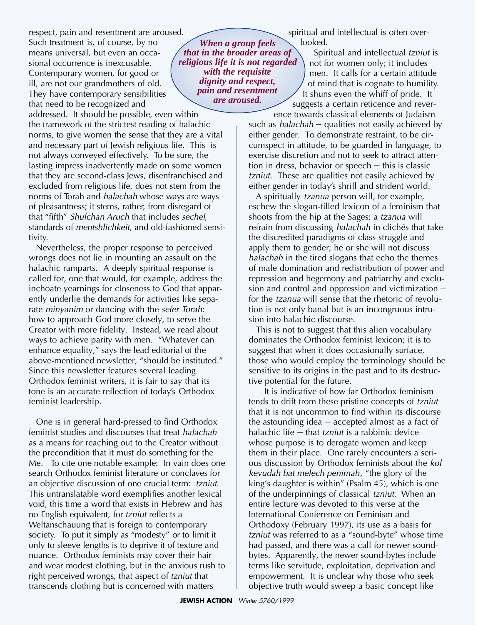respect, pain and resentment are aroused. Such treatment is, of course, by no means universal, but even an occasional occurrence is inexcusable. Contemporary women, for good or ill, are not our grandmothers of old. They have contemporary sensibilities that need to be recognized and

addressed. It should be possible, even within the framework of the strictest reading of halachic norms, to give women the sense that they are a vital and necessary part of Jewish religious life. This is not always conveyed effectively. To be sure, the lasting impress inadvertently made on some women that they are second-class Jews, disenfranchised and excluded from religious life, does not stem from the norms of Torah and *halachah* whose ways are ways of pleasantness; it stems, rather, from disregard of that "fifth" *Shulchan Aruch* that includes *sechel*, standards of *mentshlichkeit*, and old-fashioned sensitivity.

Nevertheless, the proper response to perceived wrongs does not lie in mounting an assault on the halachic ramparts. A deeply spiritual response is called for, one that would, for example, address the inchoate yearnings for closeness to God that apparently underlie the demands for activities like separate *minyanim* or dancing with the *sefer Torah*: how to approach God more closely, to serve the Creator with more fidelity. Instead, we read about ways to achieve parity with men. "Whatever can enhance equality," says the lead editorial of the above-mentioned newsletter, "should be instituted." Since this newsletter features several leading Orthodox feminist writers, it is fair to say that its tone is an accurate reflection of today's Orthodox feminist leadership.

One is in general hard-pressed to find Orthodox feminist studies and discourses that treat *halachah* as a means for reaching out to the Creator without the precondition that it must do something for the Me. To cite one notable example: In vain does one search Orthodox feminist literature or conclaves for an objective discussion of one crucial term: *tzniut*. This untranslatable word exemplifies another lexical void, this time a word that exists in Hebrew and has no English equivalent, for *tzniut* reflects a Weltanschauung that is foreign to contemporary society. To put it simply as "modesty" or to limit it only to sleeve lengths is to deprive it of texture and nuance. Orthodox feminists may cover their hair and wear modest clothing, but in the anxious rush to right perceived wrongs, that aspect of *tzniut* that transcends clothing but is concerned with matters

*When a group feels that in the broader areas of religious life it is not regarded with the requisite dignity and respect, pain and resentment are aroused.*

spiritual and intellectual is often overlooked.

Spiritual and intellectual *tzniut* is not for women only; it includes men. It calls for a certain attitude of mind that is cognate to humility. It shuns even the whiff of pride. It suggests a certain reticence and reverence towards classical elements of Judaism

such as *halachah* – qualities not easily achieved by either gender. To demonstrate restraint, to be circumspect in attitude, to be guarded in language, to exercise discretion and not to seek to attract attention in dress, behavior or speech – this is classic *tzniut*. These are qualities not easily achieved by either gender in today's shrill and strident world.

A spiritually *tzanua* person will, for example, eschew the slogan-filled lexicon of a feminism that shoots from the hip at the Sages; a *tzanua* will refrain from discussing *halachah* in clichés that take the discredited paradigms of class struggle and apply them to gender; he or she will not discuss *halachah* in the tired slogans that echo the themes of male domination and redistribution of power and repression and hegemony and patriarchy and exclusion and control and oppression and victimization – for the *tzanua* will sense that the rhetoric of revolution is not only banal but is an incongruous intrusion into halachic discourse.

This is not to suggest that this alien vocabulary dominates the Orthodox feminist lexicon; it is to suggest that when it does occasionally surface, those who would employ the terminology should be sensitive to its origins in the past and to its destructive potential for the future.

It is indicative of how far Orthodox feminism tends to drift from these pristine concepts of *tzniut* that it is not uncommon to find within its discourse the astounding idea – accepted almost as a fact of halachic life – that *tzniut* is a rabbinic device whose purpose is to derogate women and keep them in their place. One rarely encounters a serious discussion by Orthodox feminists about the *kol kevudah bat melech penimah*, "the glory of the king's daughter is within" (Psalm 45), which is one of the underpinnings of classical *tzniut*. When an entire lecture was devoted to this verse at the International Conference on Feminism and Orthodoxy (February 1997), its use as a basis for *tzniut* was referred to as a "sound-byte" whose time had passed, and there was a call for newer soundbytes. Apparently, the newer sound-bytes include terms like servitude, exploitation, deprivation and empowerment. It is unclear why those who seek objective truth would sweep a basic concept like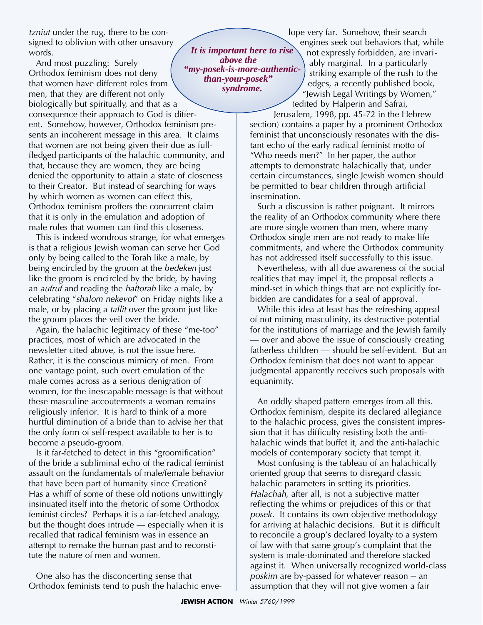*tzniut* under the rug, there to be consigned to oblivion with other unsavory words.

And most puzzling: Surely Orthodox feminism does not deny that women have different roles from men, that they are different not only biologically but spiritually, and that as a consequence their approach to God is different. Somehow, however, Orthodox feminism presents an incoherent message in this area. It claims that women are not being given their due as fullfledged participants of the halachic community, and that, because they are women, they are being denied the opportunity to attain a state of closeness

to their Creator. But instead of searching for ways by which women as women can effect this, Orthodox feminism proffers the concurrent claim that it is only in the emulation and adoption of male roles that women can find this closeness.

This is indeed wondrous strange, for what emerges is that a religious Jewish woman can serve her God only by being called to the Torah like a male, by being encircled by the groom at the *bedeken* just like the groom is encircled by the bride, by having an *aufruf* and reading the *haftorah* like a male, by celebrating "*shalom nekevot*" on Friday nights like a male, or by placing a *tallit* over the groom just like the groom places the veil over the bride.

Again, the halachic legitimacy of these "me-too" practices, most of which are advocated in the newsletter cited above, is not the issue here. Rather, it is the conscious mimicry of men. From one vantage point, such overt emulation of the male comes across as a serious denigration of women, for the inescapable message is that without these masculine accouterments a woman remains religiously inferior. It is hard to think of a more hurtful diminution of a bride than to advise her that the only form of self-respect available to her is to become a pseudo-groom.

Is it far-fetched to detect in this "groomification" of the bride a subliminal echo of the radical feminist assault on the fundamentals of male/female behavior that have been part of humanity since Creation? Has a whiff of some of these old notions unwittingly insinuated itself into the rhetoric of some Orthodox feminist circles? Perhaps it is a far-fetched analogy, but the thought does intrude — especially when it is recalled that radical feminism was in essence an attempt to remake the human past and to reconstitute the nature of men and women.

One also has the disconcerting sense that Orthodox feminists tend to push the halachic enve-

*It is important here to rise above the "my-posek-is-more-authenticthan-your-posek" syndrome.*

lope very far. Somehow, their search engines seek out behaviors that, while not expressly forbidden, are invariably marginal. In a particularly striking example of the rush to the edges, a recently published book, "Jewish Legal Writings by Women," (edited by Halperin and Safrai,

Jerusalem, 1998, pp. 45-72 in the Hebrew section) contains a paper by a prominent Orthodox feminist that unconsciously resonates with the distant echo of the early radical feminist motto of "Who needs men?" In her paper, the author attempts to demonstrate halachically that, under certain circumstances, single Jewish women should be permitted to bear children through artificial insemination.

Such a discussion is rather poignant. It mirrors the reality of an Orthodox community where there are more single women than men, where many Orthodox single men are not ready to make life commitments, and where the Orthodox community has not addressed itself successfully to this issue.

Nevertheless, with all due awareness of the social realities that may impel it, the proposal reflects a mind-set in which things that are not explicitly forbidden are candidates for a seal of approval.

While this idea at least has the refreshing appeal of not miming masculinity, its destructive potential for the institutions of marriage and the Jewish family — over and above the issue of consciously creating fatherless children — should be self-evident. But an Orthodox feminism that does not want to appear judgmental apparently receives such proposals with equanimity.

An oddly shaped pattern emerges from all this. Orthodox feminism, despite its declared allegiance to the halachic process, gives the consistent impression that it has difficulty resisting both the antihalachic winds that buffet it, and the anti-halachic models of contemporary society that tempt it.

Most confusing is the tableau of an halachically oriented group that seems to disregard classic halachic parameters in setting its priorities. *Halachah*, after all, is not a subjective matter reflecting the whims or prejudices of this or that *posek*. It contains its own objective methodology for arriving at halachic decisions. But it is difficult to reconcile a group's declared loyalty to a system of law with that same group's complaint that the system is male-dominated and therefore stacked against it. When universally recognized world-class *poskim* are by-passed for whatever reason – an assumption that they will not give women a fair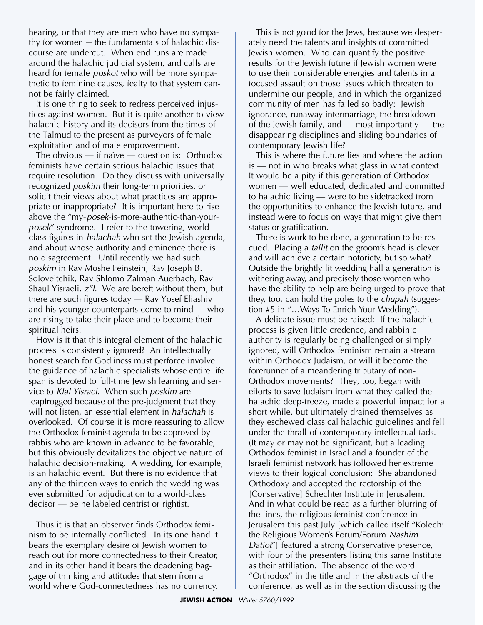hearing, or that they are men who have no sympathy for women – the fundamentals of halachic discourse are undercut. When end runs are made around the halachic judicial system, and calls are heard for female *poskot* who will be more sympathetic to feminine causes, fealty to that system cannot be fairly claimed.

It is one thing to seek to redress perceived injustices against women. But it is quite another to view halachic history and its decisors from the times of the Talmud to the present as purveyors of female exploitation and of male empowerment.

The obvious — if naïve — question is: Orthodox feminists have certain serious halachic issues that require resolution. Do they discuss with universally recognized *poskim* their long-term priorities, or solicit their views about what practices are appropriate or inappropriate? It is important here to rise above the "my-*posek*-is-more-authentic-than-your*posek*" syndrome. I refer to the towering, worldclass figures in *halachah* who set the Jewish agenda, and about whose authority and eminence there is no disagreement. Until recently we had such *poskim* in Rav Moshe Feinstein, Rav Joseph B. Soloveitchik, Rav Shlomo Zalman Auerbach, Rav Shaul Yisraeli, *z"l*. We are bereft without them, but there are such figures today — Rav Yosef Eliashiv and his younger counterparts come to mind — who are rising to take their place and to become their spiritual heirs.

How is it that this integral element of the halachic process is consistently ignored? An intellectually honest search for Godliness must perforce involve the guidance of halachic specialists whose entire life span is devoted to full-time Jewish learning and service to *Klal Yisrael*. When such *poskim* are le a p frogged because of the pre-judgment that they will not listen, an essential element in *halachah* is overlooked. Of course it is more reassuring to allow the Orthodox feminist agenda to be approved by rabbis who are known in advance to be favorable, but this obviously devitalizes the objective nature of halachic decision-making. A wedding, for example, is an halachic event. But there is no evidence that any of the thirteen ways to enrich the wedding was ever submitted for adjudication to a world-class  $decisor$  — be he labeled centrist or rightist.

Thus it is that an observer finds Orthodox feminism to be internally conflicted. In its one hand it bears the exemplary desire of Jewish women to reach out for more connectedness to their Creator, and in its other hand it bears the deadening baggage of thinking and attitudes that stem from a world where God-connectedness has no currency.

This is not good for the Jews, because we desperately need the talents and insights of committed Jewish women. Who can quantify the positive results for the Jewish future if Jewish women were to use their considerable energies and talents in a focused assault on those issues which threaten to undermine our people, and in which the organized community of men has failed so badly: Jewish ignorance, runaway intermarriage, the breakdown of the Jewish family, and — most importantly — the disappearing disciplines and sliding boundaries of contemporary Jewish life?

This is where the future lies and where the action is — not in who breaks what glass in what context. It would be a pity if this generation of Orthodox women — well educated, dedicated and committed to halachic living — were to be sidetracked from the opportunities to enhance the Jewish future, and instead were to focus on ways that might give them status or gratification.

There is work to be done, a generation to be rescued. Placing a *tallit* on the groom's head is clever and will achieve a certain notoriety, but so what? Outside the brightly lit wedding hall a generation is withering away, and precisely those women who have the ability to help are being urged to prove that they, too, can hold the poles to the *chupah* (suggestion #5 in "...Ways To Enrich Your Wedding").

A delicate issue must be raised: If the halachic process is given little credence, and rabbinic authority is regularly being challenged or simply ignored, will Orthodox feminism remain a stream within Orthodox Judaism, or will it become the forerunner of a meandering tributary of non-Orthodox movements? They, too, began with efforts to save Judaism from what they called the halachic deep-freeze, made a powerful impact for a short while, but ultimately drained themselves as they eschewed classical halachic guidelines and fell under the thrall of contemporary intellectual fads. (It may or may not be significant, but a leading Orthodox feminist in Israel and a founder of the Israeli feminist network has followed her extreme views to their logical conclusion: She abandoned Orthodoxy and accepted the rectorship of the [Conservative] Schechter Institute in Jerusalem. And in what could be read as a further blurring of the lines, the religious feminist conference in Jerusalem this past July [which called itself "Kolech: the Religious Women's Forum/Forum *Nashim Datiot*"] featured a strong Conservative presence, with four of the presenters listing this same Institute as their affiliation. The absence of the word "Orthodox" in the title and in the abstracts of the conference, as well as in the section discussing the